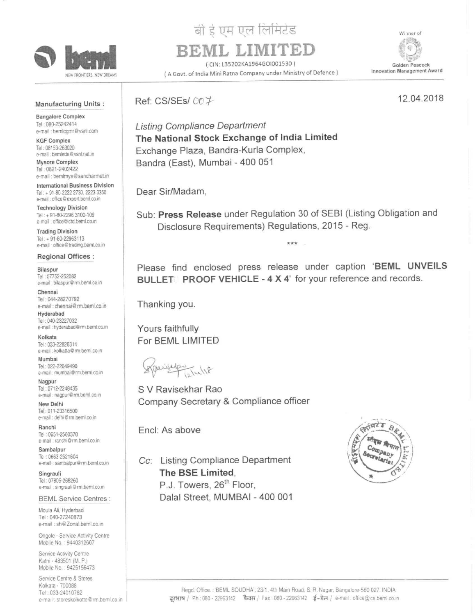

## बी ई एम एल लिमिटेड

(CIN: L35202KA1964GOI001530) (A Govt. of India Mini Ratna Company under Ministry of Defence)

Winner of Golden Peacock Innovation Management Award

**Manufacturing Units:** 

**Bangalore Complex** Tel: 080-25242414 e-mail: bemlcgmr@vsnl.com

**KGF Complex** Tel: 08153-263020 e-mail : bemlede@vsnl.net.in

Mysore Complex Tel . 0821-2402422 e-mail : bemimys@sancharmet.in

International Business Division Tel: +91-80-2222 2730, 2223 3350 e-mail: office@export.beml.co.in

**Technology Division** Tel: + 91-80-2296 3100-109 e-mail : office@ctd.beml.co.in

**Trading Division** Tel: +91-80-22963113 e-mail office@trading.beml.co.in

## **Regional Offices:**

Bilaspur Tel: 07752-252082 e-mail bilaspur@rm.beml.co.in

Chennai Tel: 044-28270792 e-mail : chennai@rm.beml.co.in Hyderabad

Tel: 040-23227032 e-mail : hyderabad@rm.beml.co.in

Kolkata Tel: 033-22826314 e-mail : kolkatta@rm.beml.co.in

Mumbai Tel: 022-22049490 e-mail : mumbai@rm.beml.co.in

Nagpur Tel: 0712-2248435 e-mail : nagpur@rm.beml.co.in

New Delhi Tel: 011-23316500 e-mail : delhi@rm.beml.co.in

Ranchi Tel: 0651-2560370 e-mail : ranchi@rm.beml.co.in

Sambalpur Tel: 0663-2521604 e-mail: sambalpur@rm.beml.co.in

Singrauli Tel: 07805-268260 e-mail : singrauli@rm.beml.co.in

**BEML Service Centres:** 

Moula Ali, Hyderbad Tel: 040-27240873 e-mail: sh@Zonal.beml.co.in

Ongole - Service Activity Centre Mobile No.: 9440312607

Service Activity Centre Katni - 483501 (M. P.) Mobile No.: 9425156473

Service Centre & Stores Kolkata - 700088 Tel: 033-24010782 e-mail: storeskolkotte@rm.beml.co.in

REML I

12.04.2018

Ref: CS/SEs/ 007

**Listing Compliance Department** The National Stock Exchange of India Limited Exchange Plaza, Bandra-Kurla Complex, Bandra (East), Mumbai - 400 051

Dear Sir/Madam,

Sub: Press Release under Regulation 30 of SEBI (Listing Obligation and Disclosure Requirements) Regulations, 2015 - Reg.

\*\*\*

Please find enclosed press release under caption 'BEML UNVEILS BULLET PROOF VEHICLE - 4 X 4' for your reference and records.

Thanking you.

Yours faithfully For BEML LIMITED

ausupo Tullo

S V Ravisekhar Rao Company Secretary & Compliance officer

Encl: As above

Cc: Listing Compliance Department The BSE Limited. P.J. Towers, 26<sup>th</sup> Floor, Dalal Street, MUMBAI - 400 001